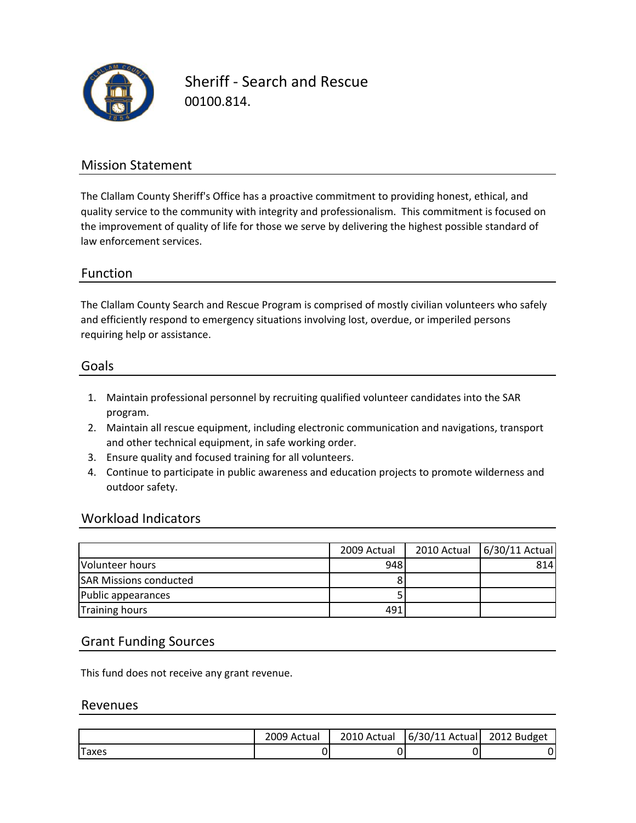

Sheriff ‐ Search and Rescue 00100.814.

### Mission Statement

The Clallam County Sheriff's Office has a proactive commitment to providing honest, ethical, and quality service to the community with integrity and professionalism. This commitment is focused on the improvement of quality of life for those we serve by delivering the highest possible standard of law enforcement services.

### Function

The Clallam County Search and Rescue Program is comprised of mostly civilian volunteers who safely and efficiently respond to emergency situations involving lost, overdue, or imperiled persons requiring help or assistance.

#### Goals

- 1. Maintain professional personnel by recruiting qualified volunteer candidates into the SAR program.
- 2. Maintain all rescue equipment, including electronic communication and navigations, transport and other technical equipment, in safe working order.
- 3. Ensure quality and focused training for all volunteers.
- 4. Continue to participate in public awareness and education projects to promote wilderness and outdoor safety.

#### Workload Indicators

|                               | 2009 Actual | 2010 Actual 6/30/11 Actual |
|-------------------------------|-------------|----------------------------|
| Volunteer hours               | 948         | 814                        |
| <b>SAR Missions conducted</b> |             |                            |
| Public appearances            |             |                            |
| <b>Training hours</b>         | 491         |                            |

#### Grant Funding Sources

This fund does not receive any grant revenue.

#### Revenues

|       | 2009 Actual | 2010 Actual | $6/30/11$ Actual | 2012 Budget |
|-------|-------------|-------------|------------------|-------------|
| Taxes |             |             |                  |             |